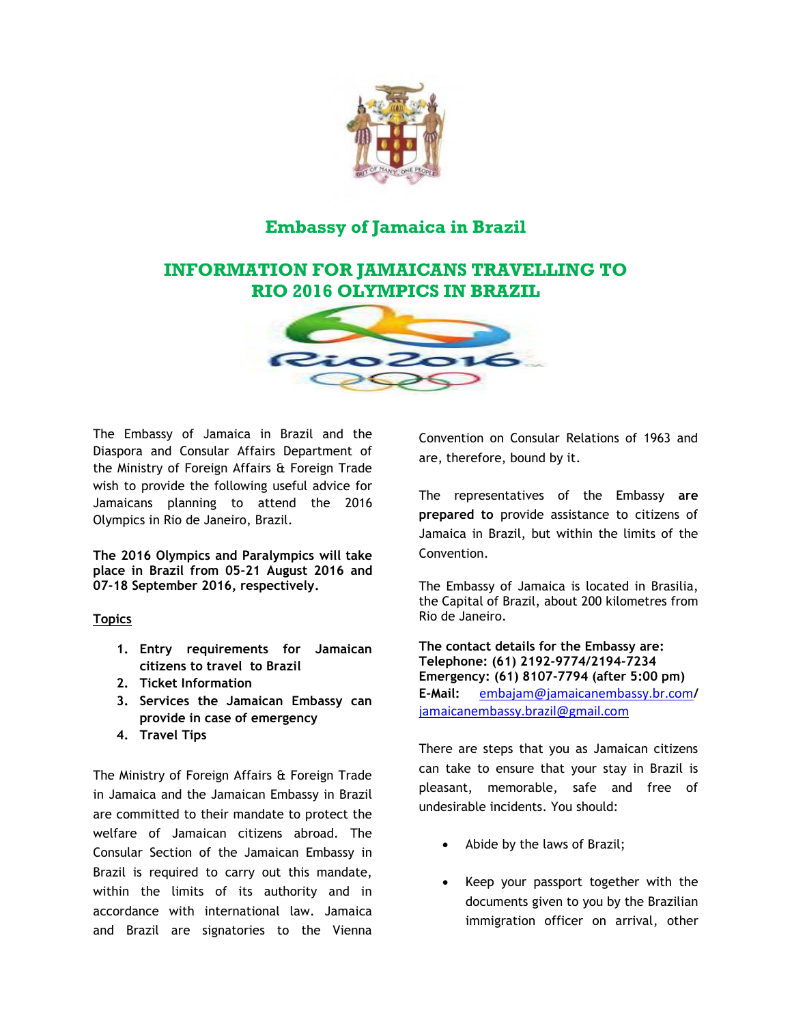

# **Embassy of Jamaica in Brazil**

## **INFORMATION FOR JAMAICANS TRAVELLING TO RIO 2016 OLYMPICS IN BRAZIL**



The Embassy of Jamaica in Brazil and the Diaspora and Consular Affairs Department of the Ministry of Foreign Affairs & Foreign Trade wish to provide the following useful advice for Jamaicans planning to attend the 2016 Olympics in Rio de Janeiro, Brazil.

**The 2016 Olympics and Paralympics will take place in Brazil from 05-21 August 2016 and 07-18 September 2016, respectively.**

## **Topics**

- **1. Entry requirements for Jamaican citizens to travel to Brazil**
- **2. Ticket Information**
- **3. Services the Jamaican Embassy can provide in case of emergency**
- **4. Travel Tips**

The Ministry of Foreign Affairs & Foreign Trade in Jamaica and the Jamaican Embassy in Brazil are committed to their mandate to protect the welfare of Jamaican citizens abroad. The Consular Section of the Jamaican Embassy in Brazil is required to carry out this mandate, within the limits of its authority and in accordance with international law. Jamaica and Brazil are signatories to the Vienna

Convention on Consular Relations of 1963 and are, therefore, bound by it.

The representatives of the Embassy **are prepared to** provide assistance to citizens of Jamaica in Brazil, but within the limits of the Convention.

The Embassy of Jamaica is located in Brasilia, the Capital of Brazil, about 200 kilometres from Rio de Janeiro.

**The contact details for the Embassy are: Telephone: (61) 2192-9774/2194-7234 Emergency: (61) 8107-7794 (after 5:00 pm) E-Mail:** [embajam@jamaicanembassy.br.com](mailto:embajam@jamaicanembassy.br.com)**/**  [jamaicanembassy.brazil@gmail.com](mailto:jamaicanembassy.brazil@gmail.com)

There are steps that you as Jamaican citizens can take to ensure that your stay in Brazil is pleasant, memorable, safe and free of undesirable incidents. You should:

- Abide by the laws of Brazil;
- Keep your passport together with the documents given to you by the Brazilian immigration officer on arrival, other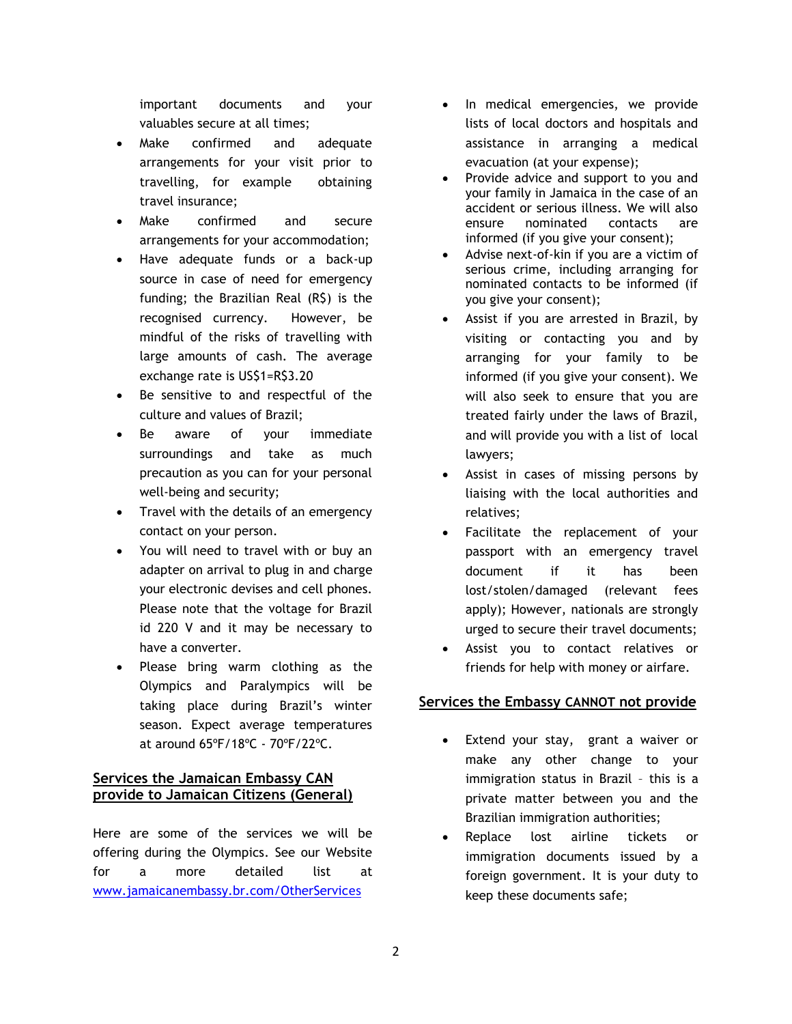important documents and your valuables secure at all times;

- Make confirmed and adequate arrangements for your visit prior to travelling, for example obtaining travel insurance;
- Make confirmed and secure arrangements for your accommodation;
- Have adequate funds or a back-up source in case of need for emergency funding; the Brazilian Real (R\$) is the recognised currency. However, be mindful of the risks of travelling with large amounts of cash. The average exchange rate is US\$1=R\$3.20
- Be sensitive to and respectful of the culture and values of Brazil;
- Be aware of your immediate surroundings and take as much precaution as you can for your personal well-being and security;
- Travel with the details of an emergency contact on your person.
- You will need to travel with or buy an adapter on arrival to plug in and charge your electronic devises and cell phones. Please note that the voltage for Brazil id 220 V and it may be necessary to have a converter.
- Please bring warm clothing as the Olympics and Paralympics will be taking place during Brazil's winter season. Expect average temperatures at around 65ºF/18ºC - 70ºF/22ºC.

## **Services the Jamaican Embassy CAN provide to Jamaican Citizens (General)**

Here are some of the services we will be offering during the Olympics. See our Website for a more detailed list at [www.jamaicanembassy.br.com/OtherServic](http://www.jamaicanembassy.br.com/OtherServices)es

- In medical emergencies, we provide lists of local doctors and hospitals and assistance in arranging a medical evacuation (at your expense);
- Provide advice and support to you and your family in Jamaica in the case of an accident or serious illness. We will also ensure nominated contacts are informed (if you give your consent);
- Advise next-of-kin if you are a victim of serious crime, including arranging for nominated contacts to be informed (if you give your consent);
- Assist if you are arrested in Brazil, by visiting or contacting you and by arranging for your family to be informed (if you give your consent). We will also seek to ensure that you are treated fairly under the laws of Brazil, and will provide you with a list of local lawyers;
- Assist in cases of missing persons by liaising with the local authorities and relatives;
- Facilitate the replacement of your passport with an emergency travel document if it has been lost/stolen/damaged (relevant fees apply); However, nationals are strongly urged to secure their travel documents;
- Assist you to contact relatives or friends for help with money or airfare.

## **Services the Embassy CANNOT not provide**

- Extend your stay, grant a waiver or make any other change to your immigration status in Brazil – this is a private matter between you and the Brazilian immigration authorities;
- Replace lost airline tickets or immigration documents issued by a foreign government. It is your duty to keep these documents safe;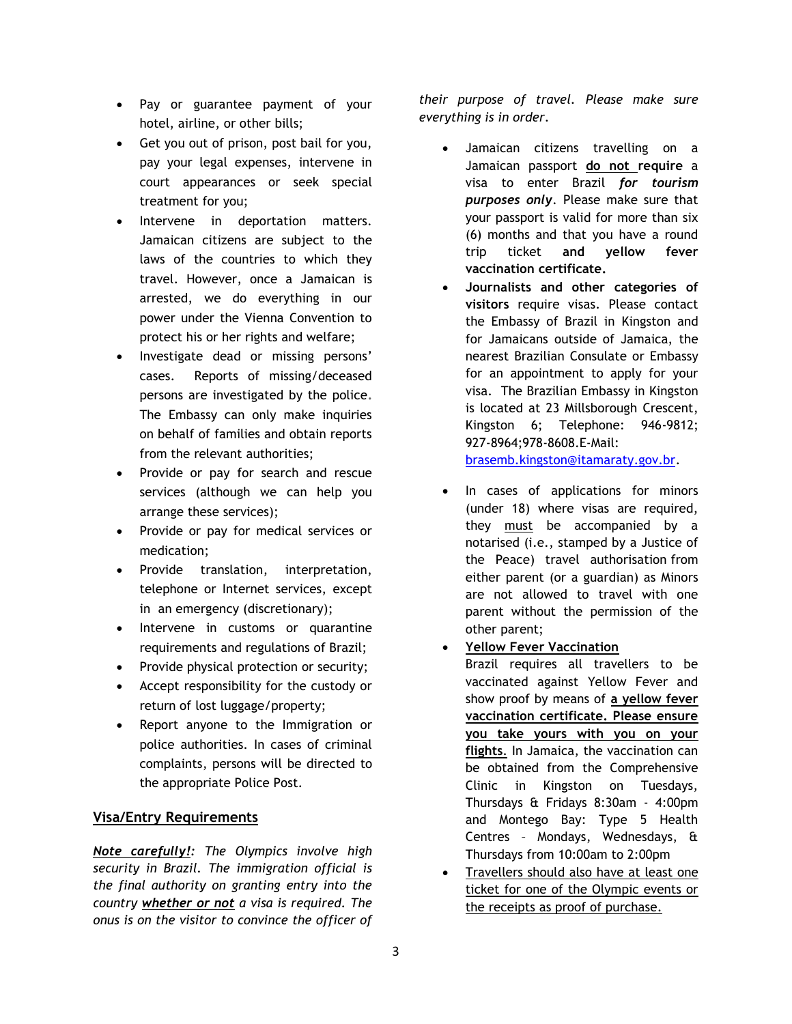- Pay or guarantee payment of your hotel, airline, or other bills;
- Get you out of prison, post bail for you, pay your legal expenses, intervene in court appearances or seek special treatment for you;
- Intervene in deportation matters. Jamaican citizens are subject to the laws of the countries to which they travel. However, once a Jamaican is arrested, we do everything in our power under the Vienna Convention to protect his or her rights and welfare;
- Investigate dead or missing persons' cases. Reports of missing/deceased persons are investigated by the police**.** The Embassy can only make inquiries on behalf of families and obtain reports from the relevant authorities;
- Provide or pay for search and rescue services (although we can help you arrange these services);
- Provide or pay for medical services or medication;
- Provide translation, interpretation, telephone or Internet services, except in an emergency (discretionary);
- Intervene in customs or quarantine requirements and regulations of Brazil;
- Provide physical protection or security;
- Accept responsibility for the custody or return of lost luggage/property;
- Report anyone to the Immigration or police authorities. In cases of criminal complaints, persons will be directed to the appropriate Police Post.

## **Visa/Entry Requirements**

*Note carefully!: The Olympics involve high security in Brazil. The immigration official is the final authority on granting entry into the country whether or not a visa is required. The onus is on the visitor to convince the officer of*  *their purpose of travel. Please make sure everything is in order.*

- Jamaican citizens travelling on a Jamaican passport **do not require** a visa to enter Brazil *for tourism purposes only*. Please make sure that your passport is valid for more than six (6) months and that you have a round trip ticket **and yellow fever vaccination certificate.**
- **Journalists and other categories of visitors** require visas. Please contact the Embassy of Brazil in Kingston and for Jamaicans outside of Jamaica, the nearest Brazilian Consulate or Embassy for an appointment to apply for your visa. The Brazilian Embassy in Kingston is located at 23 Millsborough Crescent, Kingston 6; Telephone: 946-9812; 927-8964;978-8608.E-Mail:

[brasemb.kingston@itamaraty.gov.br.](mailto:brasemb.kingston@itamaraty.gov.br)

- In cases of applications for minors (under 18) where visas are required, they must be accompanied by a notarised (i.e., stamped by a Justice of the Peace) travel authorisation from either parent (or a guardian) as Minors are not allowed to travel with one parent without the permission of the other parent;
- **Yellow Fever Vaccination**

Brazil requires all travellers to be vaccinated against Yellow Fever and show proof by means of **a yellow fever vaccination certificate. Please ensure you take yours with you on your flights**. In Jamaica, the vaccination can be obtained from the Comprehensive Clinic in Kingston on Tuesdays, Thursdays & Fridays 8:30am - 4:00pm and Montego Bay: Type 5 Health Centres – Mondays, Wednesdays, & Thursdays from 10:00am to 2:00pm

 Travellers should also have at least one ticket for one of the Olympic events or the receipts as proof of purchase.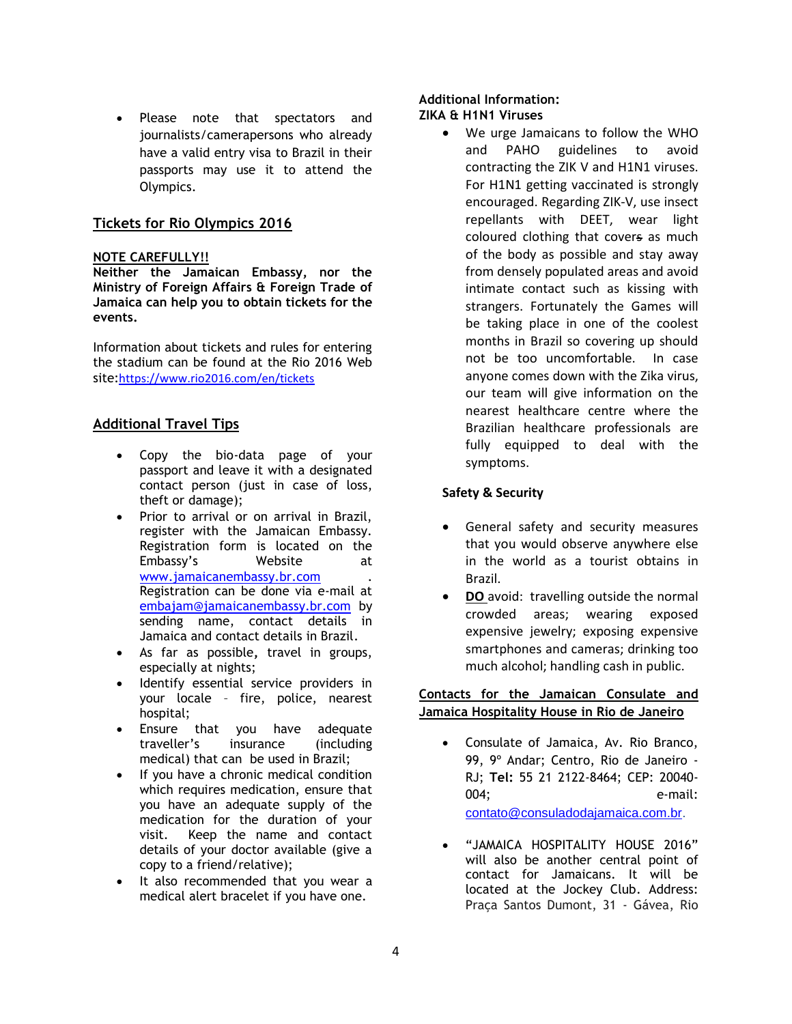Please note that spectators and journalists/camerapersons who already have a valid entry visa to Brazil in their passports may use it to attend the Olympics.

## **Tickets for Rio Olympics 2016**

#### **NOTE CAREFULLY!!**

**Neither the Jamaican Embassy, nor the Ministry of Foreign Affairs & Foreign Trade of Jamaica can help you to obtain tickets for the events.**

Information about tickets and rules for entering the stadium can be found at the Rio 2016 Web site:<https://www.rio2016.com/en/tickets>

## **Additional Travel Tips**

- Copy the bio-data page of your passport and leave it with a designated contact person (just in case of loss, theft or damage);
- Prior to arrival or on arrival in Brazil, register with the Jamaican Embassy. Registration form is located on the Embassy's Website at [www.jamaicanembassy.br.com](http://www.jamaicanembassy.br.com/) . Registration can be done via e-mail at [embajam@jamaicanembassy.br.com](mailto:embajam@jamaicanembassy.br.com) by sending name, contact details in Jamaica and contact details in Brazil.
- As far as possible**,** travel in groups, especially at nights;
- Identify essential service providers in your locale – fire, police, nearest hospital;
- Ensure that you have adequate traveller's insurance (including medical) that can be used in Brazil;
- If you have a chronic medical condition which requires medication, ensure that you have an adequate supply of the medication for the duration of your visit. Keep the name and contact details of your doctor available (give a copy to a friend/relative);
- It also recommended that you wear a medical alert bracelet if you have one.

#### **Additional Information: ZIKA & H1N1 Viruses**

 We urge Jamaicans to follow the WHO and PAHO guidelines to avoid contracting the ZIK V and H1N1 viruses. For H1N1 getting vaccinated is strongly encouraged. Regarding ZIK-V, use insect repellants with DEET, wear light coloured clothing that covers as much of the body as possible and stay away from densely populated areas and avoid intimate contact such as kissing with strangers. Fortunately the Games will be taking place in one of the coolest months in Brazil so covering up should not be too uncomfortable. In case anyone comes down with the Zika virus, our team will give information on the nearest healthcare centre where the Brazilian healthcare professionals are fully equipped to deal with the symptoms.

#### **Safety & Security**

- General safety and security measures that you would observe anywhere else in the world as a tourist obtains in Brazil.
- **DO** avoid: travelling outside the normal crowded areas; wearing exposed expensive jewelry; exposing expensive smartphones and cameras; drinking too much alcohol; handling cash in public.

## **Contacts for the Jamaican Consulate and Jamaica Hospitality House in Rio de Janeiro**

- Consulate of Jamaica, Av. Rio Branco, 99, 9º Andar; Centro, Rio de Janeiro - RJ; **Tel:** 55 21 2122-8464; CEP: 20040- 004; e-mail: [contato@consuladodajamaica.com.br.](mailto:contato@consuladodajamaica.com.br)
- "JAMAICA HOSPITALITY HOUSE 2016" will also be another central point of contact for Jamaicans. It will be located at the Jockey Club. Address: Praça Santos Dumont, 31 - Gávea, Rio